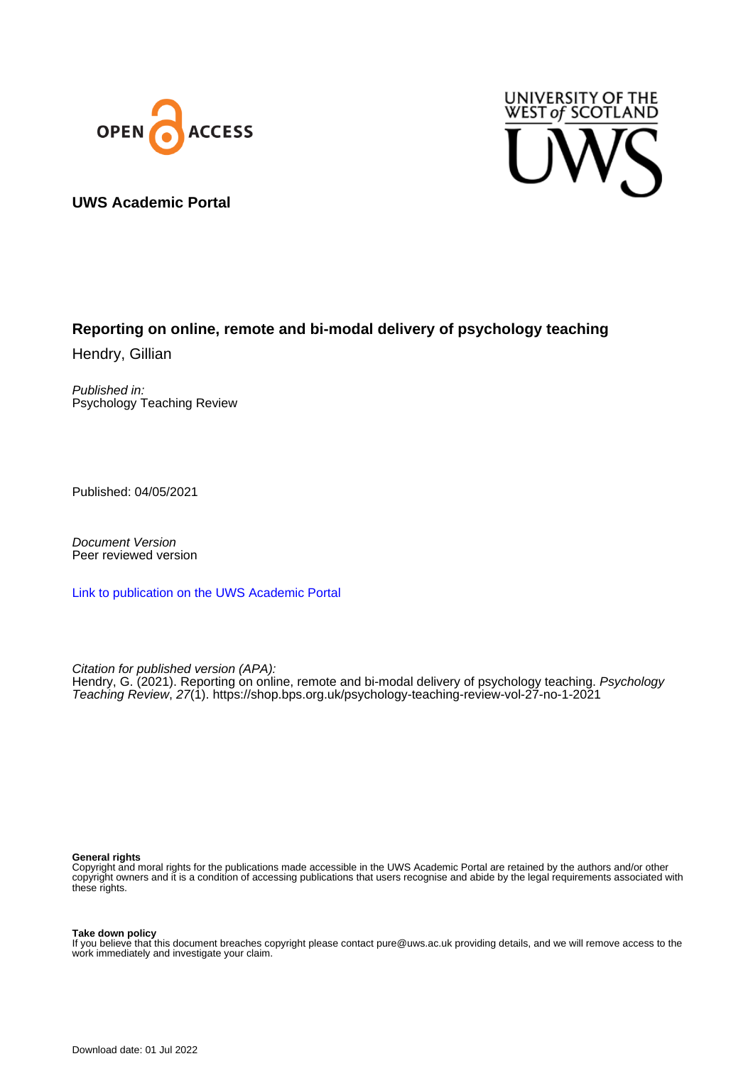



## **UWS Academic Portal**

# **Reporting on online, remote and bi-modal delivery of psychology teaching**

Hendry, Gillian

Published in: Psychology Teaching Review

Published: 04/05/2021

Document Version Peer reviewed version

[Link to publication on the UWS Academic Portal](https://uws.pure.elsevier.com/en/publications/6f337c03-5958-49f1-a8fe-fb5ca93ee4a0)

Citation for published version (APA): Hendry, G. (2021). Reporting on online, remote and bi-modal delivery of psychology teaching. Psychology Teaching Review, 27(1).<https://shop.bps.org.uk/psychology-teaching-review-vol-27-no-1-2021>

#### **General rights**

Copyright and moral rights for the publications made accessible in the UWS Academic Portal are retained by the authors and/or other copyright owners and it is a condition of accessing publications that users recognise and abide by the legal requirements associated with these rights.

#### **Take down policy**

If you believe that this document breaches copyright please contact pure@uws.ac.uk providing details, and we will remove access to the work immediately and investigate your claim.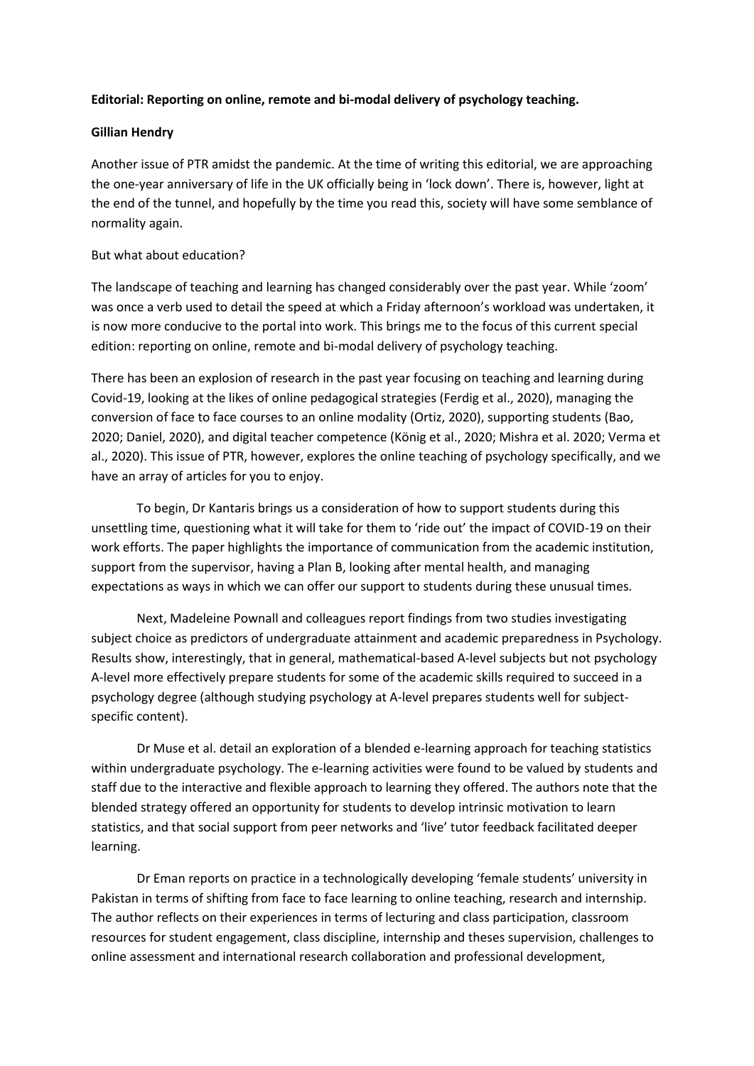## **Editorial: Reporting on online, remote and bi-modal delivery of psychology teaching.**

### **Gillian Hendry**

Another issue of PTR amidst the pandemic. At the time of writing this editorial, we are approaching the one-year anniversary of life in the UK officially being in 'lock down'. There is, however, light at the end of the tunnel, and hopefully by the time you read this, society will have some semblance of normality again.

### But what about education?

The landscape of teaching and learning has changed considerably over the past year. While 'zoom' was once a verb used to detail the speed at which a Friday afternoon's workload was undertaken, it is now more conducive to the portal into work. This brings me to the focus of this current special edition: reporting on online, remote and bi-modal delivery of psychology teaching.

There has been an explosion of research in the past year focusing on teaching and learning during Covid-19, looking at the likes of online pedagogical strategies (Ferdig et al., 2020), managing the conversion of face to face courses to an online modality (Ortiz, 2020), supporting students (Bao, 2020; Daniel, 2020), and digital teacher competence (König et al., 2020; Mishra et al. 2020; Verma et al., 2020). This issue of PTR, however, explores the online teaching of psychology specifically, and we have an array of articles for you to enjoy.

To begin, Dr Kantaris brings us a consideration of how to support students during this unsettling time, questioning what it will take for them to 'ride out' the impact of COVID-19 on their work efforts. The paper highlights the importance of communication from the academic institution, support from the supervisor, having a Plan B, looking after mental health, and managing expectations as ways in which we can offer our support to students during these unusual times.

Next, Madeleine Pownall and colleagues report findings from two studies investigating subject choice as predictors of undergraduate attainment and academic preparedness in Psychology. Results show, interestingly, that in general, mathematical-based A-level subjects but not psychology A-level more effectively prepare students for some of the academic skills required to succeed in a psychology degree (although studying psychology at A-level prepares students well for subjectspecific content).

Dr Muse et al. detail an exploration of a blended e-learning approach for teaching statistics within undergraduate psychology. The e-learning activities were found to be valued by students and staff due to the interactive and flexible approach to learning they offered. The authors note that the blended strategy offered an opportunity for students to develop intrinsic motivation to learn statistics, and that social support from peer networks and 'live' tutor feedback facilitated deeper learning.

Dr Eman reports on practice in a technologically developing 'female students' university in Pakistan in terms of shifting from face to face learning to online teaching, research and internship. The author reflects on their experiences in terms of lecturing and class participation, classroom resources for student engagement, class discipline, internship and theses supervision, challenges to online assessment and international research collaboration and professional development,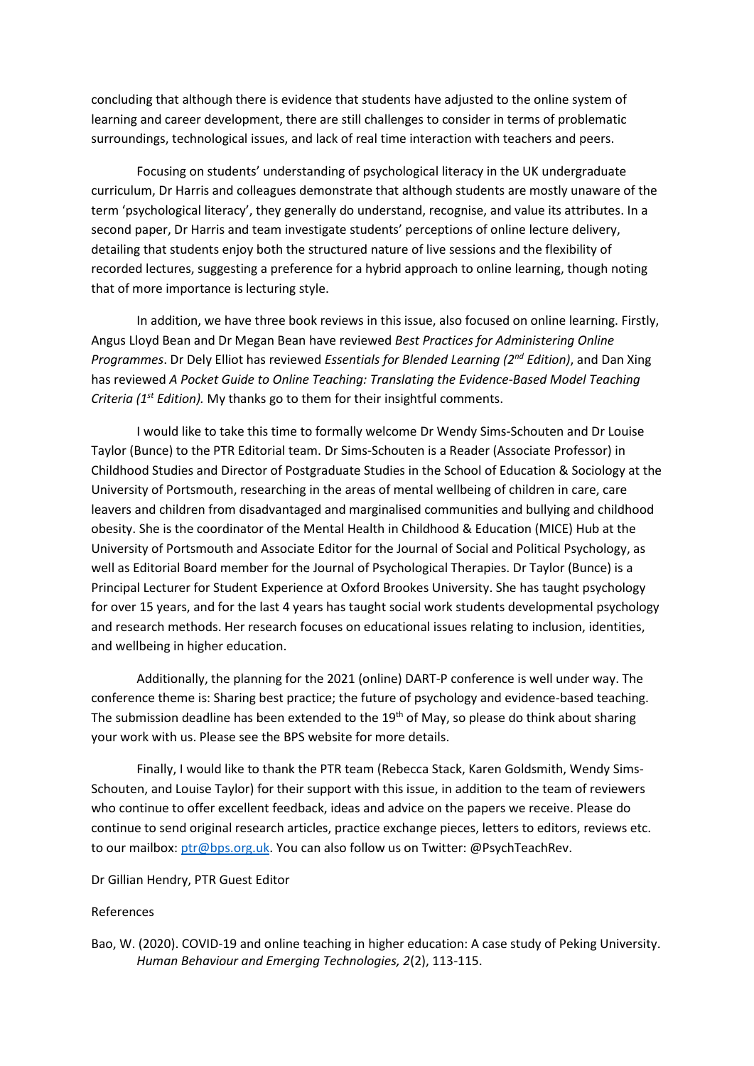concluding that although there is evidence that students have adjusted to the online system of learning and career development, there are still challenges to consider in terms of problematic surroundings, technological issues, and lack of real time interaction with teachers and peers.

Focusing on students' understanding of psychological literacy in the UK undergraduate curriculum, Dr Harris and colleagues demonstrate that although students are mostly unaware of the term 'psychological literacy', they generally do understand, recognise, and value its attributes. In a second paper, Dr Harris and team investigate students' perceptions of online lecture delivery, detailing that students enjoy both the structured nature of live sessions and the flexibility of recorded lectures, suggesting a preference for a hybrid approach to online learning, though noting that of more importance is lecturing style.

In addition, we have three book reviews in this issue, also focused on online learning. Firstly, Angus Lloyd Bean and Dr Megan Bean have reviewed *Best Practices for Administering Online Programmes*. Dr Dely Elliot has reviewed *Essentials for Blended Learning (2nd Edition)*, and Dan Xing has reviewed *A Pocket Guide to Online Teaching: Translating the Evidence-Based Model Teaching Criteria (1st Edition).* My thanks go to them for their insightful comments.

I would like to take this time to formally welcome Dr Wendy Sims-Schouten and Dr Louise Taylor (Bunce) to the PTR Editorial team. Dr Sims-Schouten is a Reader (Associate Professor) in Childhood Studies and Director of Postgraduate Studies in the School of Education & Sociology at the University of Portsmouth, researching in the areas of mental wellbeing of children in care, care leavers and children from disadvantaged and marginalised communities and bullying and childhood obesity. She is the coordinator of the Mental Health in Childhood & Education (MICE) Hub at the University of Portsmouth and Associate Editor for the Journal of Social and Political Psychology, as well as Editorial Board member for the Journal of Psychological Therapies. Dr Taylor (Bunce) is a Principal Lecturer for Student Experience at Oxford Brookes University. She has taught psychology for over 15 years, and for the last 4 years has taught social work students developmental psychology and research methods. Her research focuses on educational issues relating to inclusion, identities, and wellbeing in higher education.

Additionally, the planning for the 2021 (online) DART-P conference is well under way. The conference theme is: Sharing best practice; the future of psychology and evidence-based teaching. The submission deadline has been extended to the  $19<sup>th</sup>$  of May, so please do think about sharing your work with us. Please see the BPS website for more details.

Finally, I would like to thank the PTR team (Rebecca Stack, Karen Goldsmith, Wendy Sims-Schouten, and Louise Taylor) for their support with this issue, in addition to the team of reviewers who continue to offer excellent feedback, ideas and advice on the papers we receive. Please do continue to send original research articles, practice exchange pieces, letters to editors, reviews etc. to our mailbox[: ptr@bps.org.uk.](mailto:ptr@bps.org.uk) You can also follow us on Twitter: @PsychTeachRev.

Dr Gillian Hendry, PTR Guest Editor

#### References

Bao, W. (2020). COVID-19 and online teaching in higher education: A case study of Peking University. *Human Behaviour and Emerging Technologies, 2*(2), 113-115.